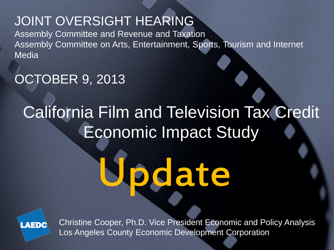#### JOINT OVERSIGHT HEARING

Assembly Committee and Revenue and Taxation Assembly Committee on Arts, Entertainment, Sports, Tourism and Internet **Media** 

#### OCTOBER 9, 2013

### California Film and Television Tax Credit Economic Impact Study

# Update



Christine Cooper, Ph.D. Vice President Economic and Policy Analysis Los Angeles County Economic Development Corporation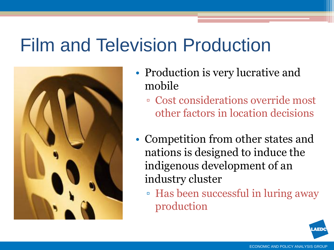### Film and Television Production



- Production is very lucrative and mobile
	- Cost considerations override most other factors in location decisions
- Competition from other states and nations is designed to induce the indigenous development of an industry cluster
	- Has been successful in luring away production

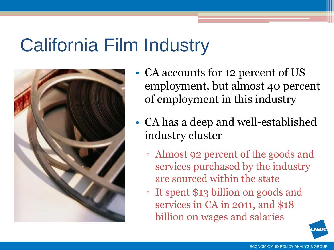# California Film Industry

![](_page_2_Picture_1.jpeg)

- CA accounts for 12 percent of US employment, but almost 40 percent of employment in this industry
- CA has a deep and well-established industry cluster
	- Almost 92 percent of the goods and services purchased by the industry are sourced within the state
	- It spent \$13 billion on goods and services in CA in 2011, and \$18 billion on wages and salaries

![](_page_2_Picture_6.jpeg)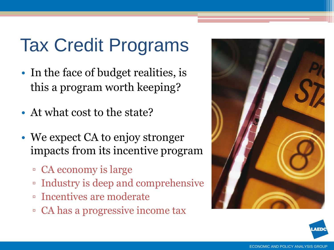# Tax Credit Programs

- In the face of budget realities, is this a program worth keeping?
- At what cost to the state?
- We expect CA to enjoy stronger impacts from its incentive program
	- CA economy is large
	- Industry is deep and comprehensive
	- Incentives are moderate
	- CA has a progressive income tax

![](_page_3_Picture_8.jpeg)

![](_page_3_Picture_9.jpeg)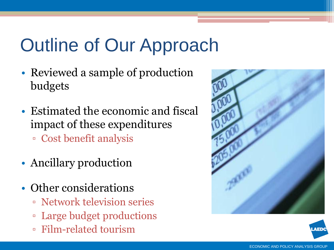# Outline of Our Approach

- Reviewed a sample of production budgets
- Estimated the economic and fiscal impact of these expenditures
	- Cost benefit analysis
- Ancillary production
- Other considerations
	- Network television series
	- Large budget productions
	- Film-related tourism

![](_page_4_Picture_9.jpeg)

![](_page_4_Picture_10.jpeg)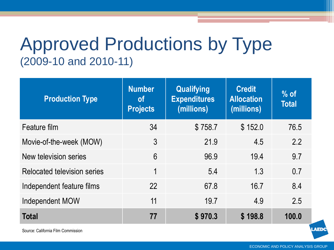### Approved Productions by Type (2009-10 and 2010-11)

| <b>Production Type</b>             | <b>Number</b><br><b>of</b><br><b>Projects</b> | <b>Qualifying</b><br><b>Expenditures</b><br>(millions) | <b>Credit</b><br><b>Allocation</b><br>(millions) | $%$ of<br><b>Total</b> |
|------------------------------------|-----------------------------------------------|--------------------------------------------------------|--------------------------------------------------|------------------------|
| Feature film                       | 34                                            | \$758.7                                                | \$152.0                                          | 76.5                   |
| Movie-of-the-week (MOW)            | 3                                             | 21.9                                                   | 4.5                                              | 2.2                    |
| New television series              | 6                                             | 96.9                                                   | 19.4                                             | 9.7                    |
| <b>Relocated television series</b> | 1                                             | 5.4                                                    | 1.3                                              | 0.7                    |
| Independent feature films          | 22                                            | 67.8                                                   | 16.7                                             | 8.4                    |
| Independent MOW                    | 11                                            | 19.7                                                   | 4.9                                              | 2.5                    |
| <b>Total</b>                       | 77                                            | \$970.3                                                | \$198.8                                          | 100.0                  |

Source: California Film Commission

LAED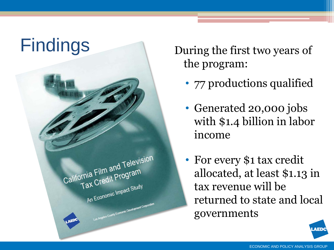![](_page_6_Picture_0.jpeg)

the program:

- 77 productions qualified
- Generated 20,000 jobs with \$1.4 billion in labor income
- For every \$1 tax credit allocated, at least \$1.13 in tax revenue will be returned to state and local governments

![](_page_6_Picture_5.jpeg)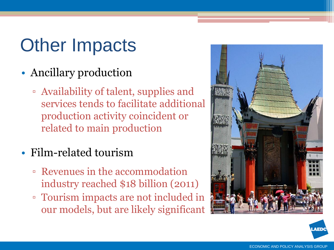# Other Impacts

- Ancillary production
	- Availability of talent, supplies and services tends to facilitate additional production activity coincident or related to main production
- Film-related tourism
	- Revenues in the accommodation industry reached \$18 billion (2011)
	- Tourism impacts are not included in our models, but are likely significant

![](_page_7_Picture_6.jpeg)

![](_page_7_Picture_7.jpeg)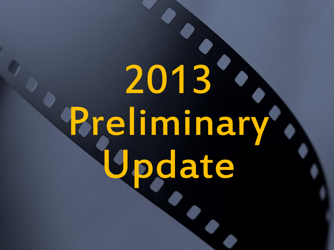# 2013 Preliminary Update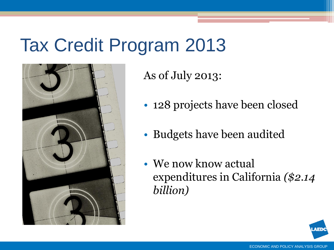# Tax Credit Program 2013

![](_page_9_Picture_1.jpeg)

As of July 2013:

- 128 projects have been closed
- Budgets have been audited
- We now know actual expenditures in California *(\$2.14 billion)*

![](_page_9_Picture_6.jpeg)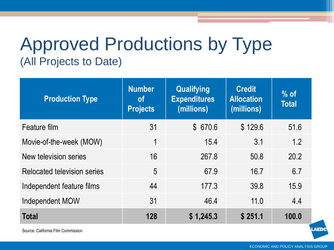### Approved Productions by Type (All Projects to Date)

| <b>Production Type</b>      | <b>Number</b><br><b>of</b><br><b>Projects</b> | <b>Qualifying</b><br><b>Expenditures</b><br>(millions) | <b>Credit</b><br><b>Allocation</b><br>(millions) | $%$ of<br><b>Total</b> |
|-----------------------------|-----------------------------------------------|--------------------------------------------------------|--------------------------------------------------|------------------------|
| Feature film                | 31                                            | \$670.6                                                | \$129.6                                          | 51.6                   |
| Movie-of-the-week (MOW)     | 1                                             | 15.4                                                   | 3.1                                              | 1.2                    |
| New television series       | 16                                            | 267.8                                                  | 50.8                                             | 20.2                   |
| Relocated television series | 5                                             | 67.9                                                   | 16.7                                             | 6.7                    |
| Independent feature films   | 44                                            | 177.3                                                  | 39.8                                             | 15.9                   |
| Independent MOW             | 31                                            | 46.4                                                   | 11.0                                             | 4.4                    |
| <b>Total</b>                | 128                                           | \$1,245.3                                              | \$251.1                                          | 100.0                  |

Source: California Film Commission

LAED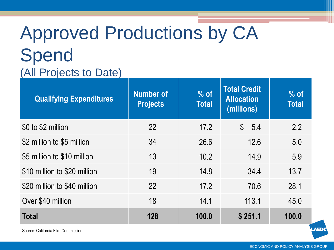### Approved Productions by CA Spend (All Projects to Date)

| <b>Qualifying Expenditures</b> | <b>Number of</b><br><b>Projects</b> | $%$ of<br><b>Total</b> | <b>Total Credit</b><br><b>Allocation</b><br>(millions) | $%$ of<br><b>Total</b> |
|--------------------------------|-------------------------------------|------------------------|--------------------------------------------------------|------------------------|
| \$0 to \$2 million             | 22                                  | 17.2                   | $\mathbb{S}$<br>-5.4                                   | 2.2                    |
| \$2 million to \$5 million     | 34                                  | 26.6                   | 12.6                                                   | 5.0                    |
| \$5 million to \$10 million    | 13                                  | 10.2                   | 14.9                                                   | 5.9                    |
| \$10 million to \$20 million   | 19                                  | 14.8                   | 34.4                                                   | 13.7                   |
| \$20 million to \$40 million   | 22                                  | 17.2                   | 70.6                                                   | 28.1                   |
| Over \$40 million              | 18                                  | 14.1                   | 113.1                                                  | 45.0                   |
| <b>Total</b>                   | 128                                 | 100.0                  | \$251.1                                                | 100.0                  |

Source: California Film Commission

**AED**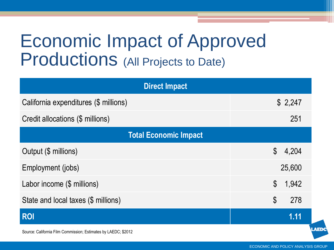### Economic Impact of Approved Productions (All Projects to Date)

| <b>Direct Impact</b>                                           |                                     |  |  |  |  |
|----------------------------------------------------------------|-------------------------------------|--|--|--|--|
| California expenditures (\$ millions)                          | \$2,247                             |  |  |  |  |
| Credit allocations (\$ millions)                               | 251                                 |  |  |  |  |
| <b>Total Economic Impact</b>                                   |                                     |  |  |  |  |
| Output (\$ millions)                                           | $\mathbb{S}$<br>4,204               |  |  |  |  |
| Employment (jobs)                                              | 25,600                              |  |  |  |  |
| Labor income (\$ millions)                                     | $\boldsymbol{\mathcal{S}}$<br>1,942 |  |  |  |  |
| State and local taxes (\$ millions)                            | $\mathfrak{L}$<br>278               |  |  |  |  |
| <b>ROI</b>                                                     | 1.11                                |  |  |  |  |
| Source: California Film Commission; Estimates by LAEDC; \$2012 |                                     |  |  |  |  |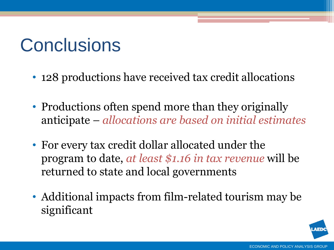# **Conclusions**

- 128 productions have received tax credit allocations
- Productions often spend more than they originally anticipate *– allocations are based on initial estimates*
- For every tax credit dollar allocated under the program to date, *at least \$1.16 in tax revenue* will be returned to state and local governments
- Additional impacts from film-related tourism may be significant

![](_page_13_Picture_5.jpeg)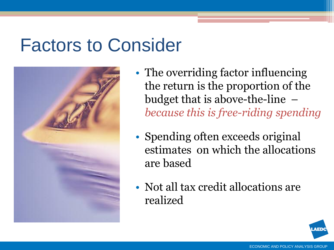### Factors to Consider

![](_page_14_Picture_1.jpeg)

- The overriding factor influencing the return is the proportion of the budget that is above-the-line – *because this is free-riding spending*
- Spending often exceeds original estimates on which the allocations are based
- Not all tax credit allocations are realized

![](_page_14_Picture_5.jpeg)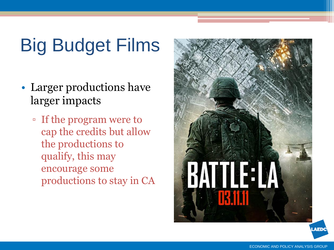# Big Budget Films

- Larger productions have larger impacts
	- If the program were to cap the credits but allow the productions to qualify, this may encourage some productions to stay in CA

![](_page_15_Picture_3.jpeg)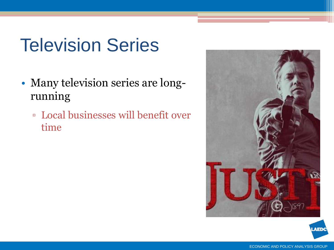# Television Series

- Many television series are longrunning
	- Local businesses will benefit over time

![](_page_16_Picture_3.jpeg)

![](_page_16_Picture_4.jpeg)